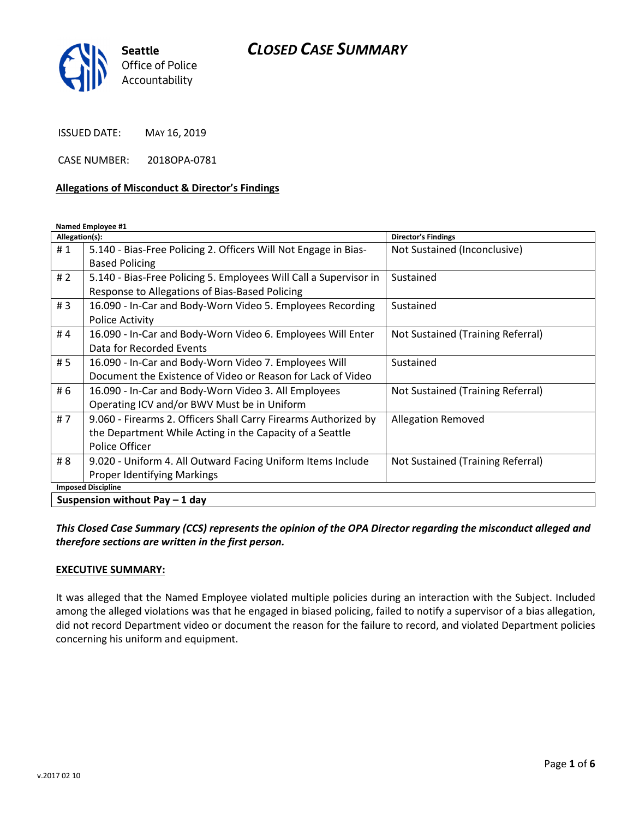# CLOSED CASE SUMMARY



ISSUED DATE: MAY 16, 2019

CASE NUMBER: 2018OPA-0781

#### Allegations of Misconduct & Director's Findings

Named Employee #1

| Allegation(s):                  |                                                                   | <b>Director's Findings</b>        |
|---------------------------------|-------------------------------------------------------------------|-----------------------------------|
| #1                              | 5.140 - Bias-Free Policing 2. Officers Will Not Engage in Bias-   | Not Sustained (Inconclusive)      |
|                                 | <b>Based Policing</b>                                             |                                   |
| # $2$                           | 5.140 - Bias-Free Policing 5. Employees Will Call a Supervisor in | Sustained                         |
|                                 | Response to Allegations of Bias-Based Policing                    |                                   |
| #3                              | 16.090 - In-Car and Body-Worn Video 5. Employees Recording        | Sustained                         |
|                                 | <b>Police Activity</b>                                            |                                   |
| #4                              | 16.090 - In-Car and Body-Worn Video 6. Employees Will Enter       | Not Sustained (Training Referral) |
|                                 | Data for Recorded Events                                          |                                   |
| #5                              | 16.090 - In-Car and Body-Worn Video 7. Employees Will             | Sustained                         |
|                                 | Document the Existence of Video or Reason for Lack of Video       |                                   |
| # 6                             | 16.090 - In-Car and Body-Worn Video 3. All Employees              | Not Sustained (Training Referral) |
|                                 | Operating ICV and/or BWV Must be in Uniform                       |                                   |
| #7                              | 9.060 - Firearms 2. Officers Shall Carry Firearms Authorized by   | <b>Allegation Removed</b>         |
|                                 | the Department While Acting in the Capacity of a Seattle          |                                   |
|                                 | Police Officer                                                    |                                   |
| # 8                             | 9.020 - Uniform 4. All Outward Facing Uniform Items Include       | Not Sustained (Training Referral) |
|                                 | Proper Identifying Markings                                       |                                   |
| <b>Imposed Discipline</b>       |                                                                   |                                   |
| Suspension without Pay $-1$ day |                                                                   |                                   |

This Closed Case Summary (CCS) represents the opinion of the OPA Director regarding the misconduct alleged and therefore sections are written in the first person.

#### EXECUTIVE SUMMARY:

It was alleged that the Named Employee violated multiple policies during an interaction with the Subject. Included among the alleged violations was that he engaged in biased policing, failed to notify a supervisor of a bias allegation, did not record Department video or document the reason for the failure to record, and violated Department policies concerning his uniform and equipment.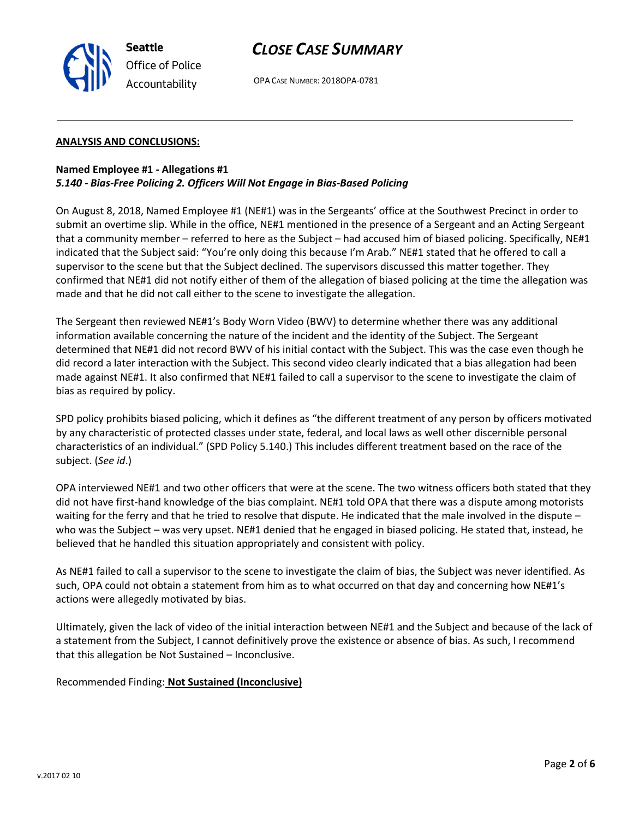

# CLOSE CASE SUMMARY

OPA CASE NUMBER: 2018OPA-0781

#### ANALYSIS AND CONCLUSIONS:

### Named Employee #1 - Allegations #1 5.140 - Bias-Free Policing 2. Officers Will Not Engage in Bias-Based Policing

On August 8, 2018, Named Employee #1 (NE#1) was in the Sergeants' office at the Southwest Precinct in order to submit an overtime slip. While in the office, NE#1 mentioned in the presence of a Sergeant and an Acting Sergeant that a community member – referred to here as the Subject – had accused him of biased policing. Specifically, NE#1 indicated that the Subject said: "You're only doing this because I'm Arab." NE#1 stated that he offered to call a supervisor to the scene but that the Subject declined. The supervisors discussed this matter together. They confirmed that NE#1 did not notify either of them of the allegation of biased policing at the time the allegation was made and that he did not call either to the scene to investigate the allegation.

The Sergeant then reviewed NE#1's Body Worn Video (BWV) to determine whether there was any additional information available concerning the nature of the incident and the identity of the Subject. The Sergeant determined that NE#1 did not record BWV of his initial contact with the Subject. This was the case even though he did record a later interaction with the Subject. This second video clearly indicated that a bias allegation had been made against NE#1. It also confirmed that NE#1 failed to call a supervisor to the scene to investigate the claim of bias as required by policy.

SPD policy prohibits biased policing, which it defines as "the different treatment of any person by officers motivated by any characteristic of protected classes under state, federal, and local laws as well other discernible personal characteristics of an individual." (SPD Policy 5.140.) This includes different treatment based on the race of the subject. (See id.)

OPA interviewed NE#1 and two other officers that were at the scene. The two witness officers both stated that they did not have first-hand knowledge of the bias complaint. NE#1 told OPA that there was a dispute among motorists waiting for the ferry and that he tried to resolve that dispute. He indicated that the male involved in the dispute – who was the Subject – was very upset. NE#1 denied that he engaged in biased policing. He stated that, instead, he believed that he handled this situation appropriately and consistent with policy.

As NE#1 failed to call a supervisor to the scene to investigate the claim of bias, the Subject was never identified. As such, OPA could not obtain a statement from him as to what occurred on that day and concerning how NE#1's actions were allegedly motivated by bias.

Ultimately, given the lack of video of the initial interaction between NE#1 and the Subject and because of the lack of a statement from the Subject, I cannot definitively prove the existence or absence of bias. As such, I recommend that this allegation be Not Sustained – Inconclusive.

### Recommended Finding: Not Sustained (Inconclusive)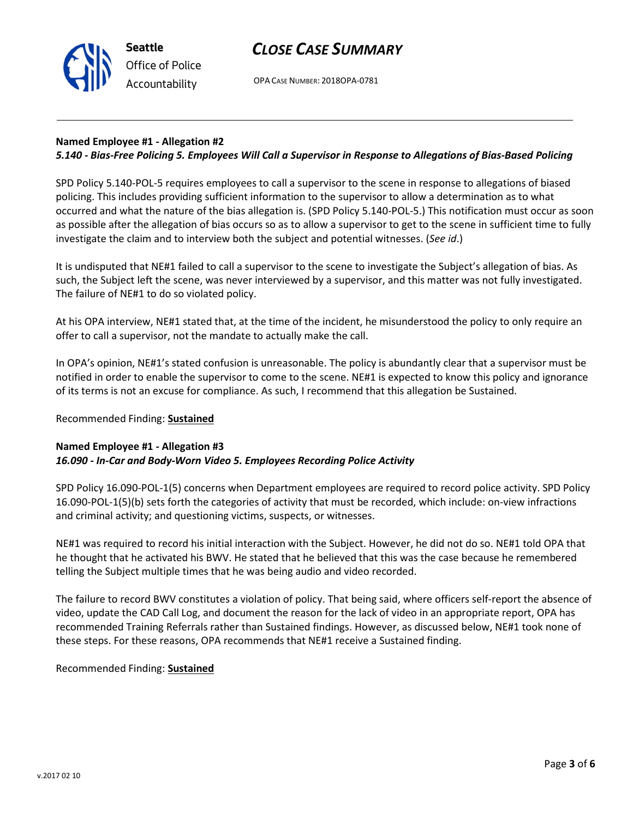

# CLOSE CASE SUMMARY

OPA CASE NUMBER: 2018OPA-0781

### Named Employee #1 - Allegation #2

### 5.140 - Bias-Free Policing 5. Employees Will Call a Supervisor in Response to Allegations of Bias-Based Policing

SPD Policy 5.140-POL-5 requires employees to call a supervisor to the scene in response to allegations of biased policing. This includes providing sufficient information to the supervisor to allow a determination as to what occurred and what the nature of the bias allegation is. (SPD Policy 5.140-POL-5.) This notification must occur as soon as possible after the allegation of bias occurs so as to allow a supervisor to get to the scene in sufficient time to fully investigate the claim and to interview both the subject and potential witnesses. (See id.)

It is undisputed that NE#1 failed to call a supervisor to the scene to investigate the Subject's allegation of bias. As such, the Subject left the scene, was never interviewed by a supervisor, and this matter was not fully investigated. The failure of NE#1 to do so violated policy.

At his OPA interview, NE#1 stated that, at the time of the incident, he misunderstood the policy to only require an offer to call a supervisor, not the mandate to actually make the call.

In OPA's opinion, NE#1's stated confusion is unreasonable. The policy is abundantly clear that a supervisor must be notified in order to enable the supervisor to come to the scene. NE#1 is expected to know this policy and ignorance of its terms is not an excuse for compliance. As such, I recommend that this allegation be Sustained.

### Recommended Finding: Sustained

### Named Employee #1 - Allegation #3 16.090 - In-Car and Body-Worn Video 5. Employees Recording Police Activity

SPD Policy 16.090-POL-1(5) concerns when Department employees are required to record police activity. SPD Policy 16.090-POL-1(5)(b) sets forth the categories of activity that must be recorded, which include: on-view infractions and criminal activity; and questioning victims, suspects, or witnesses.

NE#1 was required to record his initial interaction with the Subject. However, he did not do so. NE#1 told OPA that he thought that he activated his BWV. He stated that he believed that this was the case because he remembered telling the Subject multiple times that he was being audio and video recorded.

The failure to record BWV constitutes a violation of policy. That being said, where officers self-report the absence of video, update the CAD Call Log, and document the reason for the lack of video in an appropriate report, OPA has recommended Training Referrals rather than Sustained findings. However, as discussed below, NE#1 took none of these steps. For these reasons, OPA recommends that NE#1 receive a Sustained finding.

### Recommended Finding: Sustained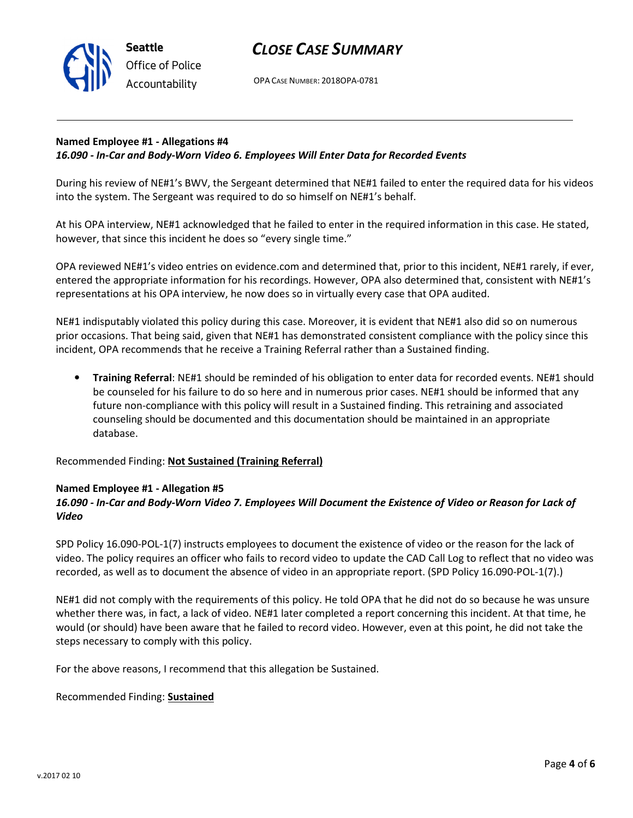

OPA CASE NUMBER: 2018OPA-0781

## Named Employee #1 - Allegations #4 16.090 - In-Car and Body-Worn Video 6. Employees Will Enter Data for Recorded Events

During his review of NE#1's BWV, the Sergeant determined that NE#1 failed to enter the required data for his videos into the system. The Sergeant was required to do so himself on NE#1's behalf.

At his OPA interview, NE#1 acknowledged that he failed to enter in the required information in this case. He stated, however, that since this incident he does so "every single time."

OPA reviewed NE#1's video entries on evidence.com and determined that, prior to this incident, NE#1 rarely, if ever, entered the appropriate information for his recordings. However, OPA also determined that, consistent with NE#1's representations at his OPA interview, he now does so in virtually every case that OPA audited.

NE#1 indisputably violated this policy during this case. Moreover, it is evident that NE#1 also did so on numerous prior occasions. That being said, given that NE#1 has demonstrated consistent compliance with the policy since this incident, OPA recommends that he receive a Training Referral rather than a Sustained finding.

• Training Referral: NE#1 should be reminded of his obligation to enter data for recorded events. NE#1 should be counseled for his failure to do so here and in numerous prior cases. NE#1 should be informed that any future non-compliance with this policy will result in a Sustained finding. This retraining and associated counseling should be documented and this documentation should be maintained in an appropriate database.

Recommended Finding: Not Sustained (Training Referral)

### Named Employee #1 - Allegation #5

Seattle

Office of Police Accountability

## 16.090 - In-Car and Body-Worn Video 7. Employees Will Document the Existence of Video or Reason for Lack of Video

SPD Policy 16.090-POL-1(7) instructs employees to document the existence of video or the reason for the lack of video. The policy requires an officer who fails to record video to update the CAD Call Log to reflect that no video was recorded, as well as to document the absence of video in an appropriate report. (SPD Policy 16.090-POL-1(7).)

NE#1 did not comply with the requirements of this policy. He told OPA that he did not do so because he was unsure whether there was, in fact, a lack of video. NE#1 later completed a report concerning this incident. At that time, he would (or should) have been aware that he failed to record video. However, even at this point, he did not take the steps necessary to comply with this policy.

For the above reasons, I recommend that this allegation be Sustained.

Recommended Finding: Sustained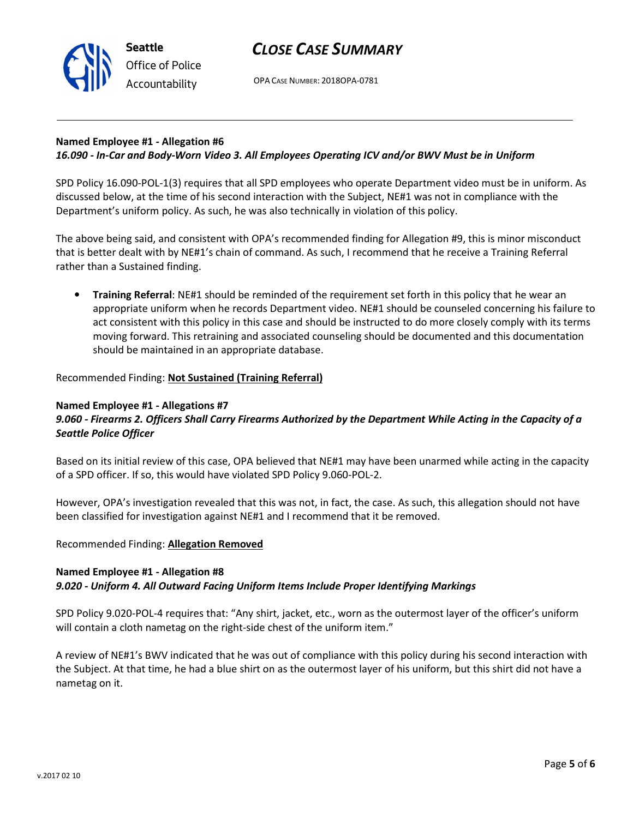

# CLOSE CASE SUMMARY

OPA CASE NUMBER: 2018OPA-0781

### Named Employee #1 - Allegation #6 16.090 - In-Car and Body-Worn Video 3. All Employees Operating ICV and/or BWV Must be in Uniform

SPD Policy 16.090-POL-1(3) requires that all SPD employees who operate Department video must be in uniform. As discussed below, at the time of his second interaction with the Subject, NE#1 was not in compliance with the Department's uniform policy. As such, he was also technically in violation of this policy.

The above being said, and consistent with OPA's recommended finding for Allegation #9, this is minor misconduct that is better dealt with by NE#1's chain of command. As such, I recommend that he receive a Training Referral rather than a Sustained finding.

• Training Referral: NE#1 should be reminded of the requirement set forth in this policy that he wear an appropriate uniform when he records Department video. NE#1 should be counseled concerning his failure to act consistent with this policy in this case and should be instructed to do more closely comply with its terms moving forward. This retraining and associated counseling should be documented and this documentation should be maintained in an appropriate database.

## Recommended Finding: Not Sustained (Training Referral)

### Named Employee #1 - Allegations #7

## 9.060 - Firearms 2. Officers Shall Carry Firearms Authorized by the Department While Acting in the Capacity of a Seattle Police Officer

Based on its initial review of this case, OPA believed that NE#1 may have been unarmed while acting in the capacity of a SPD officer. If so, this would have violated SPD Policy 9.060-POL-2.

However, OPA's investigation revealed that this was not, in fact, the case. As such, this allegation should not have been classified for investigation against NE#1 and I recommend that it be removed.

### Recommended Finding: Allegation Removed

## Named Employee #1 - Allegation #8

## 9.020 - Uniform 4. All Outward Facing Uniform Items Include Proper Identifying Markings

SPD Policy 9.020-POL-4 requires that: "Any shirt, jacket, etc., worn as the outermost layer of the officer's uniform will contain a cloth nametag on the right-side chest of the uniform item."

A review of NE#1's BWV indicated that he was out of compliance with this policy during his second interaction with the Subject. At that time, he had a blue shirt on as the outermost layer of his uniform, but this shirt did not have a nametag on it.